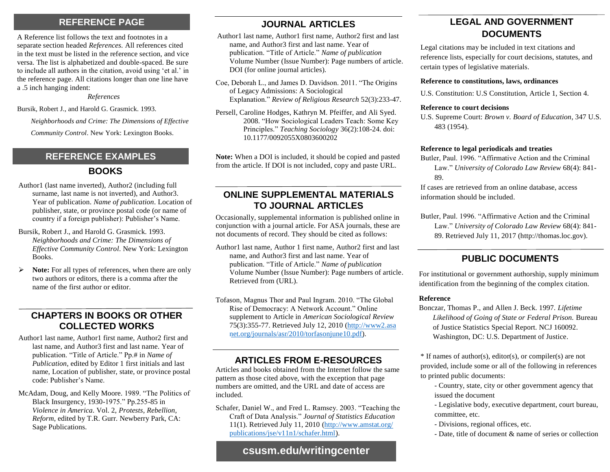## **REFERENCE PAGE JOURNAL ARTICLES**

A Reference list follows the text and footnotes in a separate section headed *References.* All references cited in the text must be listed in the reference section, and vice versa. The list is alphabetized and double-spaced. Be sure to include all authors in the citation, avoid using 'et al.' in the reference page. All citations longer than one line have a .5 inch hanging indent:

*References*

Bursik, Robert J., and Harold G. Grasmick. 1993.

*Neighborhoods and Crime: The Dimensions of Effective* 

*Community Control*. New York: Lexington Books.

# **REFERENCE EXAMPLES**

#### **BOOKS**

- Author1 (last name inverted), Author2 (including full surname, last name is not inverted), and Author3. Year of publication. *Name of publication*. Location of publisher, state, or province postal code (or name of country if a foreign publisher): Publisher's Name.
- Bursik, Robert J., and Harold G. Grasmick. 1993. *Neighborhoods and Crime: The Dimensions of Effective Community Control*. New York: Lexington Books.
- **Note:** For all types of references, when there are only two authors or editors, there is a comma after the name of the first author or editor.

### **CHAPTERS IN BOOKS OR OTHER COLLECTED WORKS**

- Author1 last name, Author1 first name, Author2 first and last name, and Author3 first and last name. Year of publication. "Title of Article." Pp.# in *Name of Publication*, edited by Editor 1 first initials and last name, Location of publisher, state, or province postal code: Publisher's Name.
- McAdam, Doug, and Kelly Moore. 1989. "The Politics of Black Insurgency, 1930-1975." Pp.255-85 in *Violence in America*. Vol. 2, *Protests, Rebellion, Reform*, edited by T.R. Gurr. Newberry Park, CA: Sage Publications.

- Author1 last name, Author1 first name, Author2 first and last name, and Author3 first and last name. Year of publication. "Title of Article." *Name of publication* Volume Number (Issue Number): Page numbers of article. DOI (for online journal articles).
- Coe, Deborah L., and James D. Davidson. 2011. "The Origins of Legacy Admissions: A Sociological Explanation." *Review of Religious Research* 52(3):233-47.
- Persell, Caroline Hodges, Kathryn M. Pfeiffer, and Ali Syed. 2008. "How Sociological Leaders Teach: Some Key Principles." *Teaching Sociology* 36(2):108-24. doi: 10.1177/0092055X0803600202

**Note:** When a DOI is included, it should be copied and pasted from the article. If DOI is not included, copy and paste URL.

## **ONLINE SUPPLEMENTAL MATERIALS TO JOURNAL ARTICLES**

Occasionally, supplemental information is published online in conjunction with a journal article. For ASA journals, these are not documents of record. They should be cited as follows:

- Author1 last name, Author 1 first name, Author2 first and last name, and Author3 first and last name. Year of publication. "Title of Article." *Name of publication* Volume Number (Issue Number): Page numbers of article. Retrieved from (URL).
- Tofason, Magnus Thor and Paul Ingram. 2010. "The Global Rise of Democracy: A Network Account." Online supplement to Article in *American Sociological Review* 75(3):355-77. Retrieved July 12, 2010 (http://www2.asa net.org/journals/asr/2010/torfasonjune10.pdf).

# **ARTICLES FROM E-RESOURCES**

Articles and books obtained from the Internet follow the same pattern as those cited above, with the exception that page numbers are omitted, and the URL and date of access are included.

Schafer, Daniel W., and Fred L. Ramsey. 2003. "Teaching the Craft of Data Analysis." *Journal of Statistics Education*  11(1). Retrieved July 11, 2010 [\(http://www.amstat.org/](http://www.amstat.org/%20publications/jse/v11n1/schafer.html)  [publications/jse/v11n1/schafer.html\).](http://www.amstat.org/%20publications/jse/v11n1/schafer.html)

# **LEGAL AND GOVERNMENT DOCUMENTS**

Legal citations may be included in text citations and reference lists, especially for court decisions, statutes, and certain types of legislative materials.

#### **Reference to constitutions, laws, ordinances**

U.S. Constitution: U.S Constitution, Article 1, Section 4.

#### **Reference to court decisions**

U.S. Supreme Court: *Brown v. Board of Education*, 347 U.S. 483 (1954).

#### **Reference to legal periodicals and treaties**

Butler, Paul. 1996. "Affirmative Action and the Criminal Law." *University of Colorado Law Review* 68(4): 841- 89.

If cases are retrieved from an online database, access information should be included.

Butler, Paul. 1996. "Affirmative Action and the Criminal Law." *University of Colorado Law Review* 68(4): 841- 89. Retrieved July 11, 2017 (http://thomas.loc.gov).

# **PUBLIC DOCUMENTS**

For institutional or government authorship, supply minimum identification from the beginning of the complex citation.

#### **Reference**

Bonczar, Thomas P., and Allen J. Beck. 1997. *Lifetime Likelihood of Going of State or Federal Prison.* Bureau of Justice Statistics Special Report. NCJ 160092. Washington, DC: U.S. Department of Justice.

\* If names of author(s), editor(s), or compiler(s) are not provided, include some or all of the following in references to printed public documents:

- Country, state, city or other government agency that issued the document

- Legislative body, executive department, court bureau, committee, etc.

- Divisions, regional offices, etc.
- Date, title of document & name of series or collection